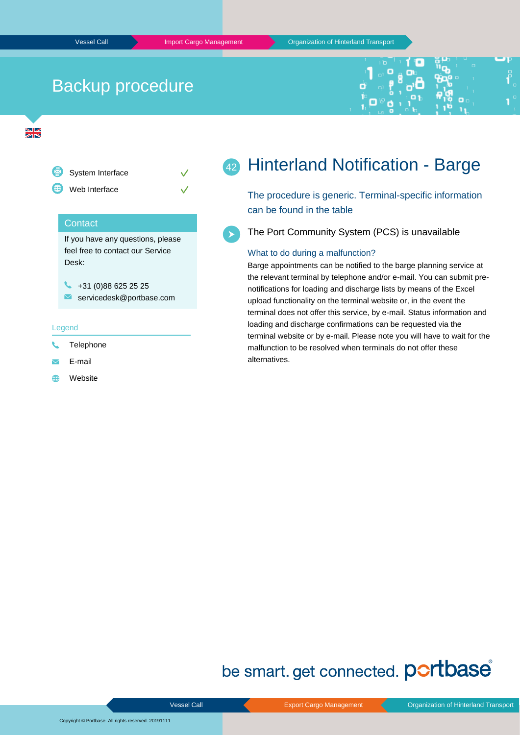# Backup procedure





+31 (0)88 625 25 25  $\blacksquare$ servicedesk@portbase.com

#### Legend

- Telephone
- $\overline{\mathbf{v}}$ E-mail
- Website 曲

### Hinterland Notification - Barge 42

The procedure is generic. Terminal-specific information can be found in the table

The Port Community System (PCS) is unavailable

### What to do during a malfunction?

Barge appointments can be notified to the barge planning service at the relevant terminal by telephone and/or e-mail. You can submit prenotifications for loading and discharge lists by means of the Excel upload functionality on the terminal website or, in the event the terminal does not offer this service, by e-mail. Status information and loading and discharge confirmations can be requested via the terminal website or by e-mail. Please note you will have to wait for the malfunction to be resolved when terminals do not offer these alternatives.

# be smart. get connected. **portbase**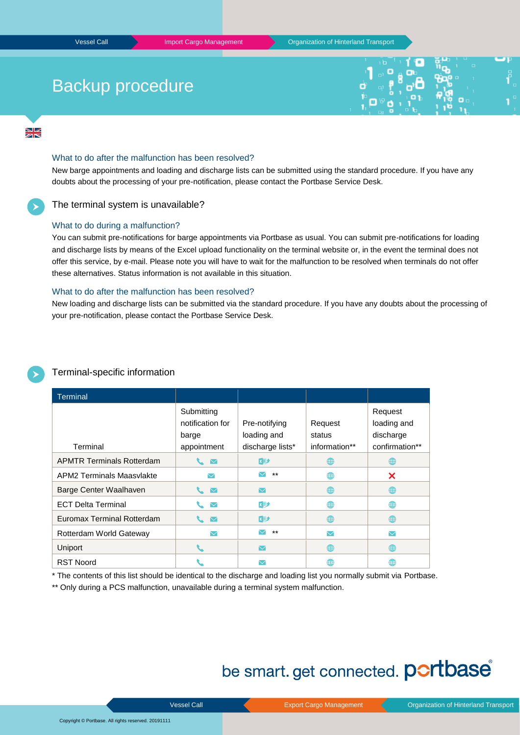# Backup procedure



 $\frac{N}{2}$ 

### What to do after the malfunction has been resolved?

New barge appointments and loading and discharge lists can be submitted using the standard procedure. If you have any doubts about the processing of your pre-notification, please contact the Portbase Service Desk.

## The terminal system is unavailable?

### What to do during a malfunction?

You can submit pre-notifications for barge appointments via Portbase as usual. You can submit pre-notifications for loading and discharge lists by means of the Excel upload functionality on the terminal website or, in the event the terminal does not offer this service, by e-mail. Please note you will have to wait for the malfunction to be resolved when terminals do not offer these alternatives. Status information is not available in this situation.

### What to do after the malfunction has been resolved?

New loading and discharge lists can be submitted via the standard procedure. If you have any doubts about the processing of your pre-notification, please contact the Portbase Service Desk.

| Terminal-specific information |  |
|-------------------------------|--|
|                               |  |

| <b>Terminal</b>                  |                      |                      |                      |                 |
|----------------------------------|----------------------|----------------------|----------------------|-----------------|
|                                  | Submitting           |                      |                      | Request         |
|                                  | notification for     | Pre-notifying        | Request              | loading and     |
|                                  | barge                | loading and          | status               | discharge       |
| Terminal                         | appointment          | discharge lists*     | information**        | confirmation**  |
| <b>APMTR Terminals Rotterdam</b> | $\triangleright$     | <b>x∄</b>            | ∰                    | ∰               |
| APM2 Terminals Maasvlakte        | $\blacktriangledown$ | $***$                | ∰                    | ×               |
| Barge Center Waalhaven           | $\sim$ $\sim$        | ▽                    | ⊕                    | ∰               |
| <b>ECT Delta Terminal</b>        | $\blacktriangledown$ | 难                    | ∰                    | ∰               |
| Euromax Terminal Rotterdam       | $\overline{\vee}$    | <b>xD</b>            | ⊕                    | ∰               |
| Rotterdam World Gateway          | $\blacktriangledown$ | $***$                | $\blacktriangledown$ | $\triangledown$ |
| <b>Uniport</b>                   |                      | $\blacktriangledown$ | ⊕                    | ∰               |
| <b>RST Noord</b>                 |                      |                      | ∰                    | ∰               |

\* The contents of this list should be identical to the discharge and loading list you normally submit via Portbase.

\*\* Only during a PCS malfunction, unavailable during a terminal system malfunction.

# be smart. get connected. portbase